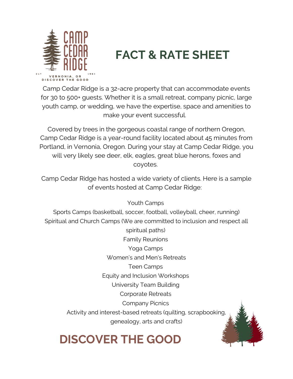

# **FACT & RATE SHEET**

Camp Cedar Ridge is a 32-acre property that can accommodate events for 30 to 500+ guests. Whether it is a small retreat, company picnic, large youth camp, or wedding, we have the expertise, space and amenities to make your event successful.

Covered by trees in the gorgeous coastal range of northern Oregon, Camp Cedar Ridge is a year-round facility located about 45 minutes from Portland, in Vernonia, Oregon. During your stay at Camp Cedar Ridge, you will very likely see deer, elk, eagles, great blue herons, foxes and coyotes.

Camp Cedar Ridge has hosted a wide variety of clients. Here is a sample of events hosted at Camp Cedar Ridge:

Youth Camps

Sports Camps (basketball, soccer, football, volleyball, cheer, running) Spiritual and Church Camps (We are committed to inclusion and respect all

> spiritual paths) Family Reunions Yoga Camps Women's and Men's Retreats Teen Camps Equity and Inclusion Workshops University Team Building Corporate Retreats Company Picnics Activity and interest-based retreats (quilting, scrapbooking, genealogy, arts and crafts)

# **DISCOVER THE GOOD**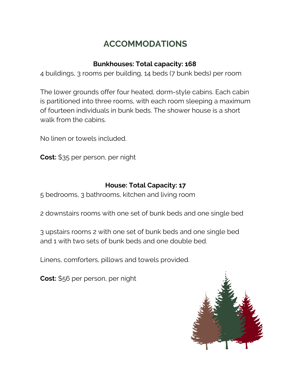## **ACCOMMODATIONS**

### **Bunkhouses: Total capacity: 168**

4 buildings, 3 rooms per building, 14 beds (7 bunk beds) per room

The lower grounds offer four heated, dorm-style cabins. Each cabin is partitioned into three rooms, with each room sleeping a maximum of fourteen individuals in bunk beds. The shower house is a short walk from the cabins.

No linen or towels included.

**Cost:** \$35 per person, per night

### **House: Total Capacity: 17**

5 bedrooms, 3 bathrooms, kitchen and living room

2 downstairs rooms with one set of bunk beds and one single bed

3 upstairs rooms 2 with one set of bunk beds and one single bed and 1 with two sets of bunk beds and one double bed.

Linens, comforters, pillows and towels provided.

**Cost:** \$56 per person, per night

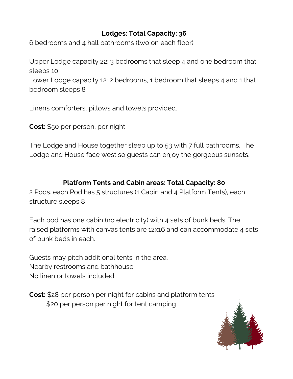### **Lodges: Total Capacity: 36**

6 bedrooms and 4 hall bathrooms (two on each floor)

Upper Lodge capacity 22: 3 bedrooms that sleep 4 and one bedroom that sleeps 10 Lower Lodge capacity 12: 2 bedrooms, 1 bedroom that sleeps 4 and 1 that bedroom sleeps 8

Linens comforters, pillows and towels provided.

**Cost:** \$50 per person, per night

The Lodge and House together sleep up to 53 with 7 full bathrooms. The Lodge and House face west so guests can enjoy the gorgeous sunsets.

### **Platform Tents and Cabin areas: Total Capacity: 80**

2 Pods. each Pod has 5 structures (1 Cabin and 4 Platform Tents), each structure sleeps 8

Each pod has one cabin (no electricity) with 4 sets of bunk beds. The raised platforms with canvas tents are 12x16 and can accommodate 4 sets of bunk beds in each.

Guests may pitch additional tents in the area. Nearby restrooms and bathhouse. No linen or towels included.

**Cost:** \$28 per person per night for cabins and platform tents \$20 per person per night for tent camping

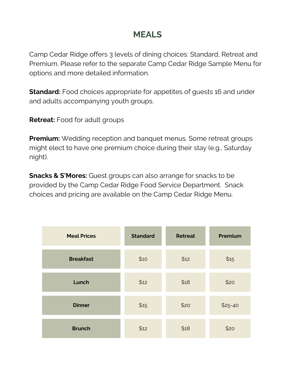### **MEALS**

Camp Cedar Ridge offers 3 levels of dining choices: Standard, Retreat and Premium. Please refer to the separate Camp Cedar Ridge Sample Menu for options and more detailed information.

**Standard:** Food choices appropriate for appetites of quests 16 and under and adults accompanying youth groups.

**Retreat:** Food for adult groups

**Premium:** Wedding reception and banquet menus. Some retreat groups might elect to have one premium choice during their stay (e.g., Saturday night).

**Snacks & S'Mores:** Guest groups can also arrange for snacks to be provided by the Camp Cedar Ridge Food Service Department. Snack choices and pricing are available on the Camp Cedar Ridge Menu.

| <b>Meal Prices</b> | <b>Standard</b> | <b>Retreat</b> | Premium  |
|--------------------|-----------------|----------------|----------|
| <b>Breakfast</b>   | \$10            | \$12           | \$15     |
| Lunch              | \$12            | \$18           | \$20     |
| <b>Dinner</b>      | \$15            | \$20           | $$25-40$ |
| <b>Brunch</b>      | \$12            | \$18           | \$20     |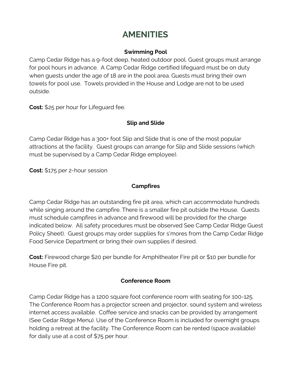### **AMENITIES**

#### **Swimming Pool**

Camp Cedar Ridge has a 9-foot deep, heated outdoor pool. Guest groups must arrange for pool hours in advance. A Camp Cedar Ridge certified lifeguard must be on duty when guests under the age of 18 are in the pool area. Guests must bring their own towels for pool use. Towels provided in the House and Lodge are not to be used outside.

**Cost:** \$25 per hour for Lifeguard fee.

### **Slip and Slide**

Camp Cedar Ridge has a 300+ foot Slip and Slide that is one of the most popular attractions at the facility. Guest groups can arrange for Slip and Slide sessions (which must be supervised by a Camp Cedar Ridge employee).

**Cost:** \$175 per 2-hour session

### **Campfires**

Camp Cedar Ridge has an outstanding fire pit area, which can accommodate hundreds while singing around the campfire. There is a smaller fire pit outside the House. Guests must schedule campfires in advance and firewood will be provided for the charge indicated below. All safety procedures must be observed See Camp Cedar Ridge Guest Policy Sheet). Guest groups may order supplies for s'mores from the Camp Cedar Ridge Food Service Department or bring their own supplies if desired.

**Cost:** Firewood charge \$20 per bundle for Amphitheater Fire pit or \$10 per bundle for House Fire pit.

#### **Conference Room**

Camp Cedar Ridge has a 1200 square foot conference room with seating for 100-125. The Conference Room has a projector screen and projector, sound system and wireless internet access available. Coffee service and snacks can be provided by arrangement (See Cedar Ridge Menu). Use of the Conference Room is included for overnight groups holding a retreat at the facility. The Conference Room can be rented (space available) for daily use at a cost of \$75 per hour.